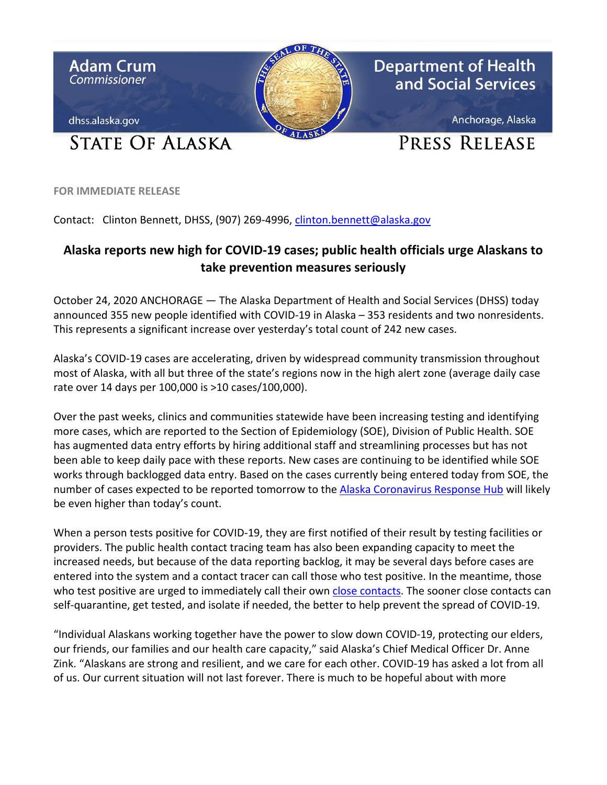

**FOR IMMEDIATE RELEASE**

Contact: Clinton Bennett, DHSS, (907) 269-4996, [clinton.bennett@alaska.gov](mailto:clinton.bennett@alaska.gov)

## **Alaska reports new high for COVID-19 cases; public health officials urge Alaskans to take prevention measures seriously**

October 24, 2020 ANCHORAGE — The Alaska Department of Health and Social Services (DHSS) today announced 355 new people identified with COVID-19 in Alaska – 353 residents and two nonresidents. This represents a significant increase over yesterday's total count of 242 new cases.

Alaska's COVID-19 cases are accelerating, driven by widespread community transmission throughout most of Alaska, with all but three of the state's regions now in the high alert zone (average daily case rate over 14 days per 100,000 is >10 cases/100,000).

Over the past weeks, clinics and communities statewide have been increasing testing and identifying more cases, which are reported to the Section of Epidemiology (SOE), Division of Public Health. SOE has augmented data entry efforts by hiring additional staff and streamlining processes but has not been able to keep daily pace with these reports. New cases are continuing to be identified while SOE works through backlogged data entry. Based on the cases currently being entered today from SOE, the number of cases expected to be reported tomorrow to the [Alaska Coronavirus Response Hub](https://coronavirus-response-alaska-dhss.hub.arcgis.com/) will likely be even higher than today's count.

When a person tests positive for COVID-19, they are first notified of their result by testing facilities or providers. The public health contact tracing team has also been expanding capacity to meet the increased needs, but because of the data reporting backlog, it may be several days before cases are entered into the system and a contact tracer can call those who test positive. In the meantime, those who test positive are urged to immediately call their own close [contacts.](http://dhss.alaska.gov/dph/Epi/id/Pages/COVID-19/contacttracing.aspx) The sooner close contacts can self-quarantine, get tested, and isolate if needed, the better to help prevent the spread of COVID-19.

"Individual Alaskans working together have the power to slow down COVID-19, protecting our elders, our friends, our families and our health care capacity," said Alaska's Chief Medical Officer Dr. Anne Zink. "Alaskans are strong and resilient, and we care for each other. COVID-19 has asked a lot from all of us. Our current situation will not last forever. There is much to be hopeful about with more